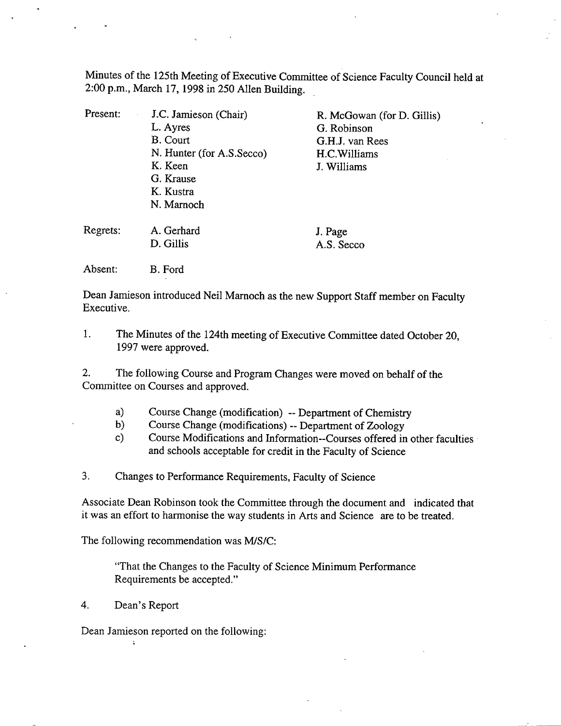Minutes of the 125th Meeting of Executive Committee of Science Faculty Council held at 2:00 p.m., March 17, 1998 in *250* Allen Building.

| Present: | J.C. Jamieson (Chair)      | R. McGowan (for D. Gillis) |
|----------|----------------------------|----------------------------|
|          | L. Ayres                   | G. Robinson                |
|          | <b>B.</b> Court            | G.H.J. van Rees            |
|          | N. Hunter (for A.S. Secco) | H.C.Williams               |
|          | K. Keen                    | J. Williams                |
|          | G. Krause                  |                            |
|          | K. Kustra                  |                            |
|          | N. Marnoch                 |                            |
| Regrets: | A. Gerhard                 | J. Page                    |
|          | D. Gillis                  | A.S. Secco                 |
| Absent:  | B. Ford                    |                            |

Dean Jamieson introduced Neil Marnoch as the new Support Staff member on Faculty Executive.

1. The Minutes of the 124th meeting of Executive Committee dated October 20, 1997 were approved.

2. The following Course and Program Changes were moved on behalf of the Committee on Courses and approved.

- a) Course Change (modification) -- Department of Chemistry
- Course Change (modifications) -- Department of Zoology  $b)$
- Course Modifications and Information--Courses offered in other faculties  $c)$ and schools acceptable for credit in the Faculty of Science

3. Changes to Performance Requirements, Faculty of Science

Associate Dean Robinson took the Committee through the document and indicated that it was an effort to harmonise the way students in Arts and Science are to be treated.

The following recommendation was M/S/C:

"That the Changes to the Faculty of Science Minimum Performance Requirements be accepted."

4. Dean's Report

Dean Jamieson reported on the following: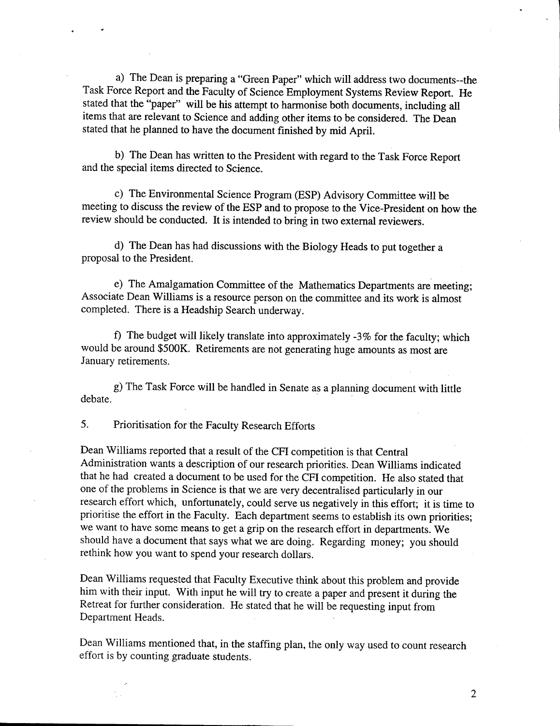a) The Dean is preparing a "Green Paper" which will address two documents--the Task Force Report and the Faculty of Science Employment Systems Review Report. He stated that the "paper" will be his attempt to harmonise both documents, including all items that are relevant to Science and adding other items to be considered. The Dean stated that he planned to have the document finished by mid April.

b) The Dean has written to the President with regard to the Task Force Report and the special items directed to Science.

The Environmental Science Program (ESP) Advisory Committee will be meeting to discuss the review of the ESP and to propose to the Vice-President on how the review should be conducted. It is intended to bring in two external reviewers.

The Dean has had discussions with the Biology Heads to put together a proposal to the President.

The Amalgamation Committee of the Mathematics Departments are meeting; Associate Dean Williams is a resource person on the committee and its work is almost completed. There is a Headship Search underway.

f) The budget will likely translate into approximately  $-3\%$  for the faculty; which would be around \$500K. Retirements are not generating huge amounts as most are January retirements.

The Task Force will be handled in Senate as a planning document with little debate.

*5.* Prioritisation for the Faculty Research Efforts

Dean Williams reported that a result of the CFI competition is that Central Administration wants a description of our research priorities. Dean Williams indicated that he had created a document to be used for the CFI competition. He also stated that one of the problems in Science is that we are very decentralised particularly in our research effort which, unfortunately, could serve us negatively in this effort; it is time to prioritise the effort in the Faculty. Each department seems to establish its own priorities; we want to have some means to get a grip on the research effort in departments. We should have a document that says what we are doing. Regarding money; you should rethink how you want to spend your research dollars.

Dean Williams requested that Faculty Executive think about this problem and provide him with their input. With input he will try to create a paper and present it during the Retreat for further consideration. He stated that he will be requesting input from Department Heads.

Dean Williams mentioned that, in the staffing plan, the only way used to count research effort is by counting graduate students.

2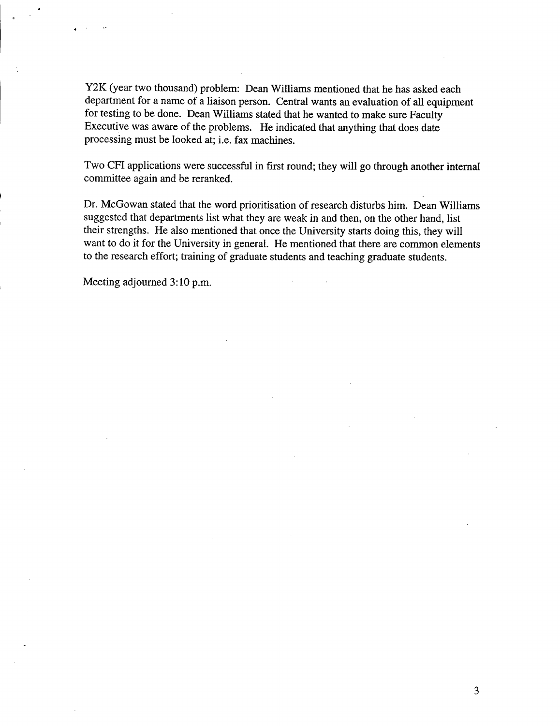Y2K (year two thousand) problem: Dean Williams mentioned that he has asked each department for a name of a liaison person. Central wants an evaluation of all equipment for testing to be done. Dean Williams stated that he wanted to make sure Faculty Executive was aware of the problems. He indicated that anything that does date processing must be looked at; i.e. fax machines.

Two CFI applications were successful in first round; they will go through another internal committee again and be reranked.

Dr. McGowan stated that the word prioritisation of research disturbs him. Dean Williams suggested that departments list what they are weak in and then, on the other hand, list their strengths. He also mentioned that once the University starts doing this, they will want to do it for the University in general. He mentioned that there are common elements to the research effort; training of graduate students and teaching graduate students.

Meeting adjourned 3:10 p.m.